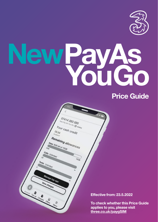

# ew PayAs<br>You Go

07414 283 585 **14 283 585**<br>Viv Pay As You Go / **0 Active** Your cash credit  $ES_{3d}$ to some

Remaining allowances Data: 8GB left of 10GB

**A**<br>Prio Cha

TOGS

### **Price Guide**

**Effective from: 23.5.2022**

**To check whether this Price Guide applies to you, please visit [three.co.uk/paygSIM](http://three.co.uk/paygSIM)**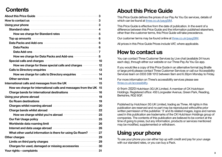## **Contents**

| About this Price Guide <b>Commission Contract Contract Contract Contract Contract Contract Contract Contract Contract Contract Contract Contract Contract Contract Contract Contract Contract Contract Contract Contract Contrac</b> |  |
|--------------------------------------------------------------------------------------------------------------------------------------------------------------------------------------------------------------------------------------|--|
| How to contact us <b>Exercise and Service Contact US</b>                                                                                                                                                                             |  |
| Using your phone <b>contract the contract of the contract of the contract of the contract of the contract of the contract of the contract of the contract of the contract of the contract of the contract of the contract of the</b> |  |
| Standard rates <b>Example 2018</b> 4                                                                                                                                                                                                 |  |
| How we charge for Standard rates <b>Manufacture 1999</b> 5                                                                                                                                                                           |  |
| Top up amounts <b>contract and the contract of the contract of the contract of the contract of the contract of the contract of the contract of the contract of the contract of the contract of the contract of the contract of t</b> |  |
| Data Packs and Add-ons <b>Entitled Street and Add-ons</b> and the content of the content of the Content of Content of Content of Content of Content of Content of Content of Content of Content of Content of Content of Content of  |  |
|                                                                                                                                                                                                                                      |  |
| Data Add-ons <b>Election Constitution Constitution</b> 7                                                                                                                                                                             |  |
| How we charge for Data Packs and Add-ons manufactured 8                                                                                                                                                                              |  |
| Special calls and charges <b>Commission Control and Charges Control Control Control and Charges Control Control Control Control Control Control Control Control Control Control Control Control Control Control Control Cont</b>     |  |
| How we charge for these special calls and charges manufactured 12                                                                                                                                                                    |  |
| Calls to Directory enquiries <b>Calls</b> to Directory enquiries                                                                                                                                                                     |  |
| How we charge for calls to Directory enquiries <b>Constituted Address</b> 14                                                                                                                                                         |  |
| Other services <b>Manual According to the Service</b> 14                                                                                                                                                                             |  |
| International calls and messages from the UK <b>CONFIDENT</b> 15                                                                                                                                                                     |  |
| How we charge for international calls and messages from the UK 15                                                                                                                                                                    |  |
| Charge bands for international destinations <b>Charge bands</b> 16                                                                                                                                                                   |  |
| Using your phone abroad <b>Contract and Separate and Separate and Separate and Separate and Separate and Separate A</b>                                                                                                              |  |
| Go Roam destinations <b>Executive Contract Contract Contract Contract Contract Contract Contract Contract Contract Contract Contract Contract Contract Contract Contract Contract Contract Contract Contract Contract Contract C</b> |  |
| Charges whilst roaming abroad <b>www.community.community</b> 20                                                                                                                                                                      |  |
| Charge bands whilst abroad <b>contract and the contract of the contract of the contract of the contract of the contract of the contract of the contract of the contract of the contract of the contract of the contract of the c</b> |  |
| How we charge whilst you're abroad manufactured 25                                                                                                                                                                                   |  |
| Our Fair Usage policy <b>Constitution Contract Construction</b> 25                                                                                                                                                                   |  |
| Worldwide data roaming limit <b>Wirts and Strategie and Strategie and Strategie and Strategie and Strategie and St</b>                                                                                                               |  |
| Internet and data usage abroad <b>manufacture and all algorithms</b> 26                                                                                                                                                              |  |
| What other useful information is there for using Go Roam?  27                                                                                                                                                                        |  |
| Other charges <b>continued and a control of the charges</b> 29                                                                                                                                                                       |  |
| Limits on third party charges <b>Constitution and Separate and Separate Property</b> 29                                                                                                                                              |  |
| Charges for used, damaged or missing accessories <b>Manual</b> 30                                                                                                                                                                    |  |
| Your rights – complaints <b>Exercise Complaints</b> – 31                                                                                                                                                                             |  |

### **About this Price Guide**

This Price Guide defines the prices of our Pay As You Go services, details of which can be found at [three.co.uk/paygSIM.](http://three.co.uk/paygSIM)

This Price Guide is effective from the date of publication. In the event of a difference between this Price Guide and the information published elsewhere, other than the customer terms, this Price Guide will take precedence.

Our customer terms may be found online at [three.co.uk/paygSIM.](http://three.co.uk/paygSIM)

All prices in this Price Guide Prices include VAT, where applicable.

### **How to contact us**

You can contact Three Customer Services by Live chat (available 24 hours each day), through either our website or our Three Pay As You Go app.

If you would like a copy of this Price Guide in an alternative format (eg Braille or large print) please contact Three Customer Services or call our Accessibility Services team on 0333 338 1012 between 9am and 6.30pm Monday to Friday.

For more information on Three's accessibility services please see [three.co.uk/accessibility](http://three.co.uk/accessibility).

© from 2020 Hutchison 3G UK Limited. A member of CK Hutchison Holdings. Registered office: 450 Longwater Avenue, Green Park, Reading, Berkshire, RG2 6GF.

Published by Hutchison 3G UK Limited, trading as Three. All rights in this publication are reserved and no part may be reproduced withoutthe prior written permission of the publisher. '3' and its related images, logos and names used in this publication are trademarks of the CK Hutchison Holdings group of companies. The contents of this publication are believed to be correct at the time of going to press, but any information, products or services mentioned may be modified, supplemented or withdrawn.

# **Using your phone**

To use your phone you can either top up with credit and pay for your usage with our standard rates, or you can buy a Pack.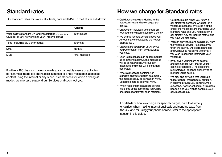Our standard rates for voice calls, texts, data and MMS in the UK are as follows:

|                                                                                                                  | Charge       |
|------------------------------------------------------------------------------------------------------------------|--------------|
| Voice calls to standard UK landlines (starting 01, 02, 03),<br>UK mobiles (any network) and your Three voicemail | 10p/ minute  |
| Texts (excluding SMS shortcodes)                                                                                 | 10p/text     |
| Data                                                                                                             | 5p/MB        |
| <b>MMS</b>                                                                                                       | 40p/ message |

If within a 180 days you have not made any chargeable events or activities (for example, made telephone calls, sent text or photo messages, accessed content using the internet or any other Three Services for which a charge is made), we may also suspend our Services or disconnect you.

### <span id="page-2-0"></span>**Standard rates How we charge for Standard rates**

- Call durations are rounded up to the nearest minute and are charged per minute.
- Charges for individual voice calls are rounded to the nearest tenth of a penny.
- We charge for data sent and received. Amounts are calculated to the nearest kilobyte (kB).
- Charges are taken from your Pay As You Go credit or from any allowance you have.
- Each text message can accommodate up to 160 characters. Long messages will be sent across numerous text messages and these will be charged separately.
- Where a message contains nonstandard characters (such as emojis), the message may be sent as an MMS. Separate charges apply for MMS.
- When you send messages to several recipients at the same time you will be charged separately for each recipient.
- Call Return calls (when you return a call directly to someone who has left a voicemail message, by keying # at the end of the message) are charged at your standard rates as if you had made the call directly. Any call-barring restrictions you have will also apply.
- You can only return one call directly from the voicemail service. As soon as you finish the call you will be disconnected and will have to redial into voicemail if you wish to continue listening to your voicemail.
- If you divert your incoming calls to another number, we'll charge you for each redirected call. The cost of the redirected call depends on the type of number you're calling.
- We may end any calls that you make that are longer than 2 hours' duration, in order to prevent you from incurring excessive, inadvertent costs. If this does happen, and you wish to continue your call, please redial.

For details of how we charge for special charges, calls to directory enquiries, when making international calls and sending texts from the UK, and for using your phone abroad, refer to the appropriate section in this guide**.**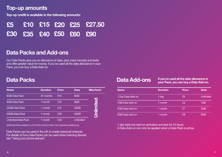### **Top-up amounts**

**Top-up credit is available in the following amounts:**

|                         |  | £5 £10 £15 £20 £25 £27.50 |
|-------------------------|--|---------------------------|
| £30 £35 £40 £50 £60 £90 |  |                           |

### **Data Packs and Add-ons**

Our Data Packs give you an allowance of data, plus voice minutes and texts and offer greater value for money. If you've used all the data allowance in your Pack, you can buy a Data Add-on.

### **Data Packs**

| <b>Name</b>                | <b>Duration</b> | Price | <b>Data</b>      | <b>Mins/texts</b> |
|----------------------------|-----------------|-------|------------------|-------------------|
| <b>6GB Data Pack</b>       | 24 months       | £10   | 6GB              |                   |
| <b>8GB Data Pack</b>       | 1 month         | £10   | 8GB              |                   |
| 25GB Data Pack             | 1 month         | £15   | 25GB             |                   |
| 50GB Data Pack             | 1 month         | £20   | <b>50GB</b>      | Ŝ                 |
| <b>Unlimited Data Pack</b> | 1 month         | £35   | <b>Unlimited</b> |                   |

6GB Data Pack available on a 24 month minimum term, from selected resellers only.

Data Packs can be used in the UK to create personal hotspots. For details of how Data Packs can be used when roaming abroad, see "Using your phone abroad".

### **Data Add-ons**

**If you've used all the data allowance in your Pack, you can buy a Data Add-on.** 

| <b>Name</b>       | <b>Duration</b> | Price | Data             |
|-------------------|-----------------|-------|------------------|
| 1 Day Data Add-on | 1 day           | £5    | <b>Unlimited</b> |
| 1GB Data Add-on   | 1 month         | £5    | 1 <sub>GB</sub>  |
| 3GB Data Add-on   | 1 month         | £7    | 3GB              |
| 6GB Data Add-on   | 1 month         | £8    | 6GB              |

1 day Add-ons start on activation and last for 24 hours.

A Data Add-on can only be applied when a Data Pack is active.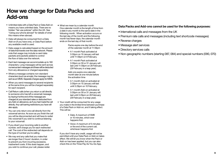### <span id="page-4-0"></span>**How we charge for Data Packs and Add-ons**

- Unlimited data with a Data Pack or Data Add-on means you have unlimited data. There are no hidden "fair use policies" within the UK. See "Using your phone abroad" for details of what this means when abroad.
- Data will always be consumed from a Data Add-on (if you have one), or Data Pack before any available credit is used.
- Data usage is calculated based on the amount of data that travels over the data network. Please note that usage may include re-sent data packets and packets added to control the flow of data over the network.
- Each text message can accommodate up to 160 characters. Long messages will be sent across numerous text messages and these will be deducted from any allowance or charged separately.
- Where a message contains non-standard characters (such as emojis), the message may be sent as an MMS. Separate charges apply for MMS.
- When you send messages to several recipients at the same time you will be charged separately for each recipient.
- Call Return calls (when you return a call directly to someone who has left a voicemail message, by keying # at the end of the message) are charged at your standard rates or deducted from any Add-on allowance, as if you had made the call directly. Any call-barring restrictions you have will also apply.
- You can only return one call directly from the voicemail service. As soon as you finish the call you will be disconnected and will have to redial into voicemail if you wish to continue listening to your voicemail.
- If you divert your incoming calls to another number, we'll charge you for each redirected call. The cost of the redirected call depends on the type of number you're calling.
- We may end any calls that you make that are longer than 2 hours' duration, in order to prevent you from incurring excessive, inadvertent costs. If this does happen, and you wish to continue your call, please redial.

• What we mean by a calendar month One calendar month is the length of time from a date in any month to the same date in the following month. When activation occurs on the last day of the month and the following month has fewer days, the calendar month ends on the last day of that month.

> Packs expire one day before the end of the calendar month at 11:59pm

- A 1-month Pack activated at 3:30pm on 10 January will last until 11:59pm on 9 February.
- A 1-month Pack activated at 3:30pm on 30 or 31 January will last until 11:59pm on 28 February (29 February in a leap year).

Add-ons expire one calendar month later at one minute before the activation time

- A 1-month Add-on activated at 3:30pm on 10 January will last until 3:29pm on 10 February.
- A 1-month Add-on activated at 3:30pm on 30 or 31 January will last until 3:29pm on 28 February (29 February in a leap year).
- Your credit will be consumed for any usage you make in the limited time between purchase of a Data Pack or Add-on, and it taking effect. This will be:
	- Data: A maximum of 5MB or 10 minutes, which ever happens first.
	- Voice: A maximum of 5 minutes or the end of the current call, whichever happens first

If you don't have any credit, usage will not be permitted until your Data Pack or Add-on takes effect. We will let you know when the Pack or Add-on has been applied, but you can also check this on the Three Pay As You Go App.

### **Data Packs and Add-ons cannot be used for the following purposes:**

- International calls and messages from the UK
- Premium rate calls and messages (including text shortcode messages)
- Reverse charges
- Message alert services
- Directory services calls
- Non-geographic numbers (starting 087, 084) and special numbers (090, 070)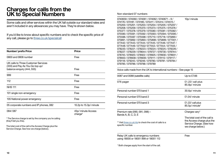### <span id="page-5-0"></span>**Charges for calls from the UK to Special Numbers**

Some calls and other services within the UK fall outside our standard rates and aren't included in any allowances you may have. They're shown below.

If you'd like to know about specific numbers and to check the specific price of any call, please go to [three.co.uk/specialcall](http://three.co.uk/specialcall)

| Number/ prefix Price                                                                                 | Price                         |
|------------------------------------------------------------------------------------------------------|-------------------------------|
| 0800 and 0808 number                                                                                 | Free                          |
| UK calls to Three Customer Services<br>(333) and Pay As You Go top up/<br>balance enquiry (444, 555) | Free                          |
| 999                                                                                                  | Free                          |
| 112                                                                                                  | Free                          |
| <b>NHS 111</b>                                                                                       | Free                          |
| 101 single non-emergency                                                                             | Free                          |
| 105 National power emergency                                                                         | Free                          |
| 05 corporate numbers and IP phones, 082                                                              | 10.2p to 15.3p/ minute        |
| 084/087                                                                                              | 45p/ minute Access<br>charge* |

\* The Service charge is set by the company you're calling (they'll tell you this).

The total cost of the call is the Access Charge plus the Service Charge. See how we charge (below).

Non-standard 07 numbers

| 0740659 / 074060 / 074061 / 074062 / 0740671 - 9 /    | 10p/ minute                                         |
|-------------------------------------------------------|-----------------------------------------------------|
| 074176 / 074181 / 074185 / 074411 / 074414 / 074515 / |                                                     |
| 075200 / 075201 / 075203 / 075204 / 075205 / 075207 / |                                                     |
| 075208 / 075209 / 075370 / 075373 / 075375 / 075376 / |                                                     |
| 075377 / 075378 / 075379 / 075580 / 075581 / 075582 / |                                                     |
| 075590 / 075591 / 075592 / 075593 / 075594 / 075595 / |                                                     |
| 075596 / 075597 / 075598 / 075710 / 075718 / 075890 / |                                                     |
| 075891 / 075892 / 075893 / 075898 / 075899 / 077001 / |                                                     |
| 077442 / 077443 / 077444 / 077445 / 077446 / 077447 / |                                                     |
| 077448 / 077449 / 077552/ 077553 / 077554 / 077555 /  |                                                     |
| 078220 / 078221 / 078223 / 078224 / 078225 / 078226 / |                                                     |
| 078227 / 078229 / 078644 / 078727 / 078730 / 078744 / |                                                     |
| 078745 / 078920 / 078922 / 078925 / 078930 / 078931 / |                                                     |
| 078933 / 078938 / 078939 / 079111 / 079112 / 079117 / |                                                     |
| 079118 / 079245 / 079246 / 079780 / 079781 / 079784 / |                                                     |
| 079785 / 079786 / 079788 / 079789                     |                                                     |
|                                                       | $\bigcap_{n=1}^{\infty}$ . $\bigcap_{n=1}^{\infty}$ |

Voice calls made from the UK to international numbers – See page 15

| 0087 and 0088 (satellite calls)                                                                                                       | Up to £7.66                                                                                                                   |
|---------------------------------------------------------------------------------------------------------------------------------------|-------------------------------------------------------------------------------------------------------------------------------|
| 076 pager                                                                                                                             | £1.22/ call plus<br>85.8p/ minute                                                                                             |
| Personal number 070 band 1                                                                                                            | 30.6p/ minute                                                                                                                 |
| Personal number 070 band 2                                                                                                            | £1.04/ minute                                                                                                                 |
| Personal number 070 band 3                                                                                                            | £1.22/ call plus<br>85.5p/ minute*                                                                                            |
| Premium rate (090, 091, 098) -<br>Bands A, B, C, D, E<br>** Visit three.co.uk/nts to check the cost of calls to a<br>specific number. | Charges vary*<br>The total cost of the call is<br>the Access charge plus the<br>Service Charge. (See how<br>we charge below.) |
| Relay UK calls to emergency numbers<br>using 18000 or 18001 999 or 18001 112                                                          | Free                                                                                                                          |

\* Both charges apply from the start of the call.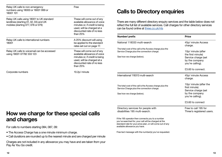<span id="page-6-0"></span>

| Free                                                                                                                                                                 | <b>Calls</b>                                    |
|----------------------------------------------------------------------------------------------------------------------------------------------------------------------|-------------------------------------------------|
| These will come out of any<br>available allowance of voice<br>minutes or, if credit is being<br>used, will be charged at a<br>discounted rate of no less<br>than 25% | There are n<br>reflect the f<br>can be four     |
| A 25% discount will using<br>be applied to the standard<br>rates set out on page 17.                                                                                 | Number/pr<br>National 11                        |
| These will come out of any<br>available allowance of voice<br>minutes or, if credit is being<br>used, will be charged at a<br>discounted rate of no less<br>than 25% | The total cost<br>Service Chard<br>See how we c |
| 10.2p/ minute                                                                                                                                                        | Internationa                                    |
|                                                                                                                                                                      | The total cost<br>Service Chard                 |
|                                                                                                                                                                      | See how we c                                    |
|                                                                                                                                                                      |                                                 |

### **Calls to Directory enquiries**

nany different directory enquiry services and the table below does not full list of available services. Call charges for other directory services nd online at [three.co.uk/nts](http://three.co.uk/nts)

| Number/prefix                                                                                                                        | Price                                                                                                |
|--------------------------------------------------------------------------------------------------------------------------------------|------------------------------------------------------------------------------------------------------|
| National 118333 multi-search                                                                                                         | 45p/ minute Access<br>charge.                                                                        |
| The total cost of the call is the Access charge plus the<br>Service Charge plus the connection charge.<br>See how we charge (below). | 10p/ minute (after<br>the first minute)<br>Service charge (set<br>by the company<br>you're calling). |
|                                                                                                                                      | £3.60 to connect.                                                                                    |
| International 118313 multi-search                                                                                                    | 45p/ minute Access<br>charge.                                                                        |
| The total cost of the call is the Access charge plus the<br>Service Charge plus the connection charge.<br>See how we charge (below). | 10p/ minute (after the<br>first minute)<br>Service charge (set<br>by the company<br>you're calling). |
|                                                                                                                                      | £3.60 to connect                                                                                     |
| Directory services for people with<br>disabilities 195 multi-search.                                                                 | Free to call 195 for<br>Three's registered users.                                                    |

### **How we charge for these special calls and charges**

For calls to numbers starting 084, 087, 09:

- The Access Charge has a one minute minimum charge.
- Call durations are rounded up to the nearest minute and are charged per minute

Charges are not included in any allowance you may have and are taken from your Pay As You Go credit.

If the 195 operator then connects you to a number you've searched for, your call will be charged at the standard rate for your price plan, or will come out of any available allowance you have.

Free text message with the number(s) you've requested.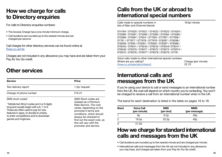### <span id="page-7-0"></span>**How we charge for calls to Directory enquiries**

For calls to Directory enquiries numbers:

- The Access Charge has a one minute minimum charge.
- Call durations are rounded up to the nearest minute and are charged per second.

Call charges for other directory services can be found online at [three.co.uk/nts](http://three.co.uk/nts)

Charges are not included in any allowance you may have and are taken from your Pay As You Go credit.

### **Other services**

| <b>Service</b>                                                                                                                                                                                                                                                 | Price                                                                                                                                                                                                                                                            |
|----------------------------------------------------------------------------------------------------------------------------------------------------------------------------------------------------------------------------------------------------------------|------------------------------------------------------------------------------------------------------------------------------------------------------------------------------------------------------------------------------------------------------------------|
| Text delivery report                                                                                                                                                                                                                                           | 1.2p/ request                                                                                                                                                                                                                                                    |
| Change of phone number                                                                                                                                                                                                                                         | £10.21                                                                                                                                                                                                                                                           |
| SMS short codes*<br>* Mobile text Short codes are 5 or 6 digits<br>long and usually begin with a 6, 7 or 8.<br>These are often used to pay for new<br>features in apps, to donate to charity,<br>to enter competitions and to download<br>games and ringtones. | SMS Short codes are<br>classed as a Premium<br>Rate Service. The cost<br>varies, depending on the<br>promoter's terms and<br>conditions, which should<br>always be checked to<br>find out the exact cost, as<br>this will vary with the<br>promoter and service. |

### **Calls from the UK or abroad to international special numbers**

Calls made to special numbers in 19.5p/ minute Isle of Man and Channel Islands

074184 / 074520 / 074521 / 074522 / 074523 / 074524 / 075090 / 075091 / 075092 / 075093 / 075094 / 075095 / 075096 / 075097 / 07624 / 077003 / 077007 / 077008 / 07781 / 077977 / 077978 / 077979 / 078297 / 078298 / 078299 / 07839 / 078391 / 078392 / 078397 / 078398 / 079240 / 079241 / 079242 / 079243 / 079244/ 079247 / 079248 / 079370 / 079371 / 079372 / 079373 / 079374 / 079375 / 079376 / 079377 / 079378 / 079379 / 07781

Voice calls made to other international special numbers Where are you calling?<br>
three couk/specialnumbers?<br>  $\frac{1}{2}$  are couk/specialnumbers? three.co.uk/specialnumbers3

### **International calls and messages from the UK**

If you're using your device to call or send messages to an international number from the UK, the cost will depend on which country you're contacting. You won't be charged to receive a call from an international number when in the UK.

The band for each destination is listed in the table on pages 16 to 18.

| <b>Band</b> | <b>Voice Call</b><br>(per minute) | <b>SMS</b><br>(per text) | <b>MMS</b><br>(per message) |
|-------------|-----------------------------------|--------------------------|-----------------------------|
|             | 3p                                | 6.2p                     | 40 <sub>p</sub>             |
|             | 19.5 <sub>p</sub>                 | 25.2p                    | 40 <sub>p</sub>             |
| 3           | £1.50                             |                          |                             |

### **How we charge for standard international calls and messages from the UK**

• Call durations are rounded up to the nearest minute and are charged per minute.

• International calls and messages from the UK are not included in any allowance you may have, and charges are taken from your Pay As You Go credit.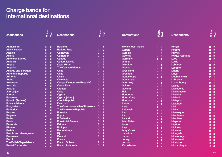### <span id="page-8-0"></span>**Charge bands for international destinations**

| <b>Destinations</b>               | Voice          | Text           | <b>Destinations</b>                | Voice          | Text           | <b>Destinations</b>       | Voice          | Text                 | <b>Destinations</b>    |                | Voice<br>Text  |
|-----------------------------------|----------------|----------------|------------------------------------|----------------|----------------|---------------------------|----------------|----------------------|------------------------|----------------|----------------|
|                                   |                |                |                                    |                |                |                           |                |                      |                        |                |                |
| <b>Afghanistan</b>                | 3              | $\overline{2}$ | <b>Bulgaria</b>                    |                | и              | <b>French West Indies</b> | 3              | $\overline{2}$       | Kenya                  | 3              | $\overline{2}$ |
| <b>Aland Islands</b>              | $\overline{2}$ | 1              | <b>Burkina Faso</b>                | 3              | $\overline{2}$ | Gabon                     | 3              | $\overline{2}$       | <b>Kosovo</b>          | 3              | $\overline{2}$ |
| <b>Albania</b>                    | 3              | $\overline{2}$ | Cambodia                           | 3              | $\overline{2}$ | Gambia                    | 3              | $\overline{2}$       | <b>Kuwait</b>          | 3              | $\overline{2}$ |
| <b>Algeria</b>                    | 3              | $\overline{2}$ | Cameroon                           | 3              | $\overline{2}$ | Georgia                   | 3              | $\overline{2}$       | <b>Kyrgyz Republic</b> | 3              | $\overline{2}$ |
| <b>American Samoa</b>             | 3              | $\overline{2}$ | Canada                             |                | $\overline{2}$ | Germany                   | 1              | -1                   | Laos                   | 3              | $\overline{2}$ |
| Andorra                           | 3              | $\overline{2}$ | <b>Canary Islands</b>              | 3              | $\overline{2}$ | Ghana                     | 3              | $\overline{2}$       | Latvia                 |                | -1             |
| Angola                            | 3              | $\overline{2}$ | <b>Cape Verde</b>                  | 3              | $\overline{2}$ | Gibraltar                 | $\overline{2}$ | -1                   | Lebanon                | 3              | $\overline{2}$ |
| <b>Anguilla</b>                   | 3              | $\overline{2}$ | <b>The Cayman Islands</b>          | 3              | $\overline{2}$ | Greece                    | $\overline{2}$ | -1                   | Lesotho                | 3              | $\overline{2}$ |
| <b>Antigua and Barbuda</b>        | 3              | $\overline{2}$ | Chad                               | 3              | $\overline{2}$ | Greenland                 | 3              | $\overline{2}$       | Liberia                | 3              | $\overline{2}$ |
| <b>Argentine Republic</b>         | 3              | $\overline{2}$ | <b>Chile</b>                       | 3              | $\overline{2}$ | Grenada                   | 3              | $\overline{2}$       | Libya                  | 3              | $\overline{2}$ |
| <b>Armenia</b>                    | 3              | $\overline{2}$ | China                              | 1              | $\overline{2}$ | Guadeloupe                | $\overline{2}$ | H.                   | Liechtenstein          | $\overline{2}$ | -1             |
| <b>Aruba</b>                      | 3              | $\overline{2}$ | Colombia                           | 3              | $\overline{2}$ | Guatemala                 | 3              | $\overline{2}$       | Lithuania              |                |                |
| <b>Ascension</b>                  | 3              | $\overline{2}$ | <b>Congo (Democratic Republic)</b> | 3              | $\overline{2}$ | <b>Guernsey</b>           | $\overline{2}$ | 1                    | Luxembourg             | $\overline{2}$ |                |
| <b>Australia</b>                  | 1              | $\overline{2}$ | <b>Costa Rica</b>                  | 3              | $\overline{2}$ | Guinea                    | 3              | $\overline{2}$       | <b>Macau</b>           | 3              | $\overline{2}$ |
| <b>Austria</b>                    | $\overline{2}$ | 1              | Croatia                            | $\overline{2}$ |                | Guyana                    | 3              | $\overline{2}$       | Macedonia              | 3              | $\overline{2}$ |
| Azerbaijan                        | 3              | $\overline{2}$ | Cuba                               | 3              | $\overline{2}$ | <b>Haiti</b>              | 3              | $\overline{2}$       | Madagascar             | 3              | $\overline{2}$ |
| <b>Azores</b>                     | 3              | $\overline{2}$ | Cyprus                             |                | м              | <b>Honduras</b>           | 3              | $\overline{2}$       | <b>Madeira</b>         | з              | $\overline{2}$ |
| <b>Bahamas</b>                    | 3              | $\overline{2}$ | <b>Cyprus (North)</b>              | 3              | $\overline{2}$ | <b>Hong Kong</b>          | 3              | $\overline{2}$       | <b>Malawi</b>          | 3              | $\overline{2}$ |
| <b>Bahrain (State of)</b>         | 3              | $\overline{2}$ | <b>Czech Republic</b>              | $\overline{2}$ | и              | Hungary                   | $\overline{2}$ | $\blacktriangleleft$ | <b>Malavsia</b>        | 3              | $\overline{2}$ |
| <b>Balearic Islands</b>           | 3              | $\overline{2}$ | <b>Denmark</b>                     | $\overline{2}$ | и              | Iceland                   | $\overline{2}$ | -1                   | <b>Maldives</b>        | 3              | $\overline{2}$ |
| <b>Bangladesh</b>                 | 1              | $\overline{2}$ | The Commonwealth of Dominica       | 3              | $\overline{2}$ | India                     | 1              | $\overline{2}$       | <b>Mali</b>            | 3              | $\overline{2}$ |
| <b>Barbados</b>                   | 3              | $\overline{2}$ | <b>The Dominican Republic</b>      | 3              | $\overline{2}$ | Indonesia                 | 3              | $\overline{2}$       | <b>Malta</b>           | $\overline{2}$ |                |
| <b>Belarus</b>                    | 3              | $\overline{2}$ | <b>Ecuador</b>                     | 3              | $\overline{2}$ | <b>Iran</b>               | 3              | $\overline{2}$       | <b>Martinique</b>      | $\overline{2}$ | -1             |
| <b>Belgium</b>                    | $\overline{2}$ | 1              | Egypt                              | 3              | $\overline{2}$ | Irag                      | 3              | $\overline{2}$       | <b>Mauritania</b>      | 3              | $\overline{2}$ |
| <b>Belize</b>                     | 3              | $\overline{2}$ | <b>El Salvador</b>                 | з              | $\overline{2}$ | Ireland                   | $\overline{2}$ | $\blacktriangleleft$ | <b>Mauritius</b>       | 3              | $\overline{2}$ |
| <b>Benin</b>                      | 3              | $\overline{2}$ | <b>Equatorial Guinea</b>           | 3              | $\overline{2}$ | <b>Isle of Man</b>        | $\overline{2}$ | -1                   | <b>Mavotte</b>         | 3              | $\overline{2}$ |
| <b>Bermuda</b>                    | 3              | $\overline{2}$ | Estonia                            | $\overline{2}$ | и              | <b>Israel</b>             | 3              | $\overline{2}$       | <b>Mexico</b>          | 3              | $\overline{2}$ |
| <b>Bhutan</b>                     | 3              | $\overline{2}$ | <b>Ethiopia</b>                    | 3              | $\overline{2}$ | Italy                     |                | и                    | <b>Moldova</b>         | 3              | $\overline{2}$ |
| <b>Bolivia</b>                    | 3              | $\overline{2}$ | <b>Faroe Islands</b>               | 3              | $\overline{2}$ | <b>Ivory Coast</b>        | 3              | $\overline{2}$       | <b>Monaco</b>          | $\overline{2}$ | -1             |
| <b>Bosnia and Herzegovina</b>     | 3              | $\overline{2}$ | Fiji                               | 3              | $\overline{2}$ | Jamaica                   | 3              | $\overline{2}$       | <b>Mongolia</b>        | 3              | $\overline{2}$ |
| <b>Botswana</b>                   | 3              | $\overline{2}$ | <b>Finland</b>                     | $\overline{2}$ | и              | Japan                     | 3              | $\overline{2}$       | Montenegro             | 3              | $\overline{2}$ |
| <b>Brazil</b>                     | 3              | $\overline{2}$ | France                             |                |                | Jersey                    | $\overline{2}$ | 1                    | <b>Montserrat</b>      | 3              | $\overline{2}$ |
| <b>The British Virgin Islands</b> | 3              | $\overline{2}$ | <b>French Guiana</b>               | 2              |                | Jordan                    | 3              | $\overline{2}$       | <b>Morocco</b>         | 3              | $\overline{2}$ |
| <b>Brunei Darussalam</b>          | 3              | $\overline{2}$ | <b>French Polynesia</b>            | 3              | $\overline{2}$ | <b>Kazakhstan</b>         | 3              | $\overline{2}$       | <b>Mozambique</b>      | 3              | $\overline{2}$ |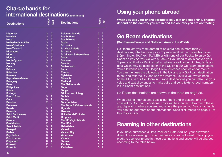### <span id="page-9-0"></span>**Charge bands for international destinations** (continued)

| <b>Destinations</b>         | Voice                   | Text           | <b>Destinations</b>                 | Voice          | <b>Text</b>    |
|-----------------------------|-------------------------|----------------|-------------------------------------|----------------|----------------|
| <b>Myanmar</b>              | 3                       | $\overline{2}$ | <b>Solomon Islands</b>              | 3              | $\overline{2}$ |
| <b>Namibia</b>              | 3                       | $\overline{2}$ | <b>South Africa</b>                 | 1              | $\overline{2}$ |
| <b>Nepal</b>                | 3                       | $\overline{2}$ | <b>South Korea</b>                  | 3              | $\overline{2}$ |
| <b>Netherlands Antilles</b> | 3                       | $\overline{2}$ | <b>Spain</b>                        | 1              | 1              |
| <b>New Caledonia</b>        | 3                       | $\overline{2}$ | <b>Sri Lanka</b>                    | 3              | $\overline{2}$ |
| <b>New Zealand</b>          | 3                       | $\overline{2}$ | <b>St. Kitts &amp; Nevis</b>        | 3              | $\overline{2}$ |
| <b>Nicaragua</b>            | 3                       | $\overline{2}$ | <b>St. Lucia</b>                    | 3              | $\overline{2}$ |
| <b>Niger</b>                | 3                       | $\overline{2}$ | <b>St. Vincent &amp; Grenadines</b> | 3              | $\overline{2}$ |
| <b>Nigeria</b>              | 3                       | $\overline{2}$ | Sudan                               | 3              | $\overline{2}$ |
| <b>North Cyprus</b>         | 3                       | $\overline{2}$ | <b>Surinam</b>                      | 3              | $\overline{2}$ |
| <b>Norway</b>               | $\overline{2}$          | 1              | <b>Sweden</b>                       | $\overline{2}$ | 1              |
| Oman                        | $\overline{\mathbf{3}}$ | $\overline{2}$ | <b>Switzerland</b>                  | $\overline{2}$ | 1              |
| <b>Pakistan</b>             | 1                       | $\overline{2}$ | <b>Syria</b>                        | 3              | $\overline{2}$ |
| <b>Palestine</b>            | 3                       | $\overline{2}$ | <b>Taiwan</b>                       | 3              | $\overline{2}$ |
| Panama                      | 3                       | $\overline{2}$ | <b>Taiikistan</b>                   | 3              | $\overline{2}$ |
| Papua New Guinea            | 3                       | $\overline{2}$ | <b>Tanzania</b>                     | 3              | $\overline{2}$ |
| <b>Paraguay</b>             | 3                       | $\overline{2}$ | <b>Thailand</b>                     | 3              | $\overline{2}$ |
| Peru                        | 3                       | $\overline{2}$ | <b>The Netherlands</b>              | 1              | 1              |
| <b>Philippines</b>          | 3                       | $\overline{2}$ | <b>Togo</b>                         | 3              | $\overline{2}$ |
| Poland                      | 1                       | 1              | Tonga                               | 3              | $\overline{2}$ |
| Portugal                    | 1                       | 1              | <b>Trinidad and Tobago</b>          | 3              | $\overline{2}$ |
| <b>Puerto Rico</b>          | 3                       | $\overline{2}$ | <b>Tunisia</b>                      | 3              | $\bar{2}$      |
| Qatar                       | 3                       | $\overline{2}$ | <b>Turkey</b>                       | 3              | $\overline{2}$ |
| Réunion                     | $\overline{2}$          | 1              | Turkmenistan                        | 3              | $\overline{2}$ |
| Romania                     | 1                       | 1              | The Turks & Caicos Islands          | 3              | $\overline{2}$ |
| <b>Russia</b>               | 3                       | $\overline{2}$ | Uganda                              | 3              | $\overline{2}$ |
| <b>Rwanda</b>               | 3                       | $\overline{2}$ | <b>Ukraine</b>                      | 3              | $\overline{2}$ |
| Saint Barthélemv            | 3                       | $\overline{2}$ | <b>United Arab Emirates</b>         | 3              | $\frac{2}{2}$  |
| <b>Saint Martin</b>         | 3                       | $\overline{2}$ | <b>Uruguay</b>                      | 3              |                |
| Samoa                       | 3                       | $\overline{2}$ | <b>The US Virgin Islands</b>        | 3              | $\overline{2}$ |
| <b>San Marino</b>           | $\overline{2}$          | 1              | <b>The USA</b>                      | 1              | $\overline{2}$ |
| Saudi Arabia                | 3                       | $\overline{2}$ | <b>Uzbekistan</b>                   | 3              | $\overline{2}$ |
| <b>Senegal</b>              | 3                       | $\overline{2}$ | Vanuatu                             | 3              | $\overline{2}$ |
| <b>Serbia</b>               | 3                       | $\overline{2}$ | <b>Vatican City</b>                 | $\overline{2}$ | 1              |
| <b>Sevchelles</b>           | 3                       | $\overline{2}$ | <b>Venezuela</b>                    | 3              | $\overline{2}$ |
| <b>Sierra Leone</b>         | 3                       | $\overline{2}$ | <b>Vietnam</b>                      | 3              | $\overline{2}$ |
| <b>Singapore</b>            | 3                       | $\overline{2}$ | Yemen                               | 3              | $\overline{2}$ |
| <b>Slovakia</b>             | $\overline{2}$          | 1              | Zambia                              | 3              | $\overline{2}$ |
| <b>Slovenia</b>             | $\overline{2}$          | 1              | <b>Zimbabwe</b>                     | 3              | $\overline{2}$ |

### **Using your phone abroad**

**When you use your phone abroad to call, text and get online, charges depend on the country you are in and the country you are contacting.**

### **Go Roam destinations**

**(Go Roam in Europe and Go Roam Around the World)**

Go Roam lets you roam abroad at no extra cost in more than 70 destinations, whether using your Top-up credit with our standard rates (10p/ minute; 10p/ text; 5p/ MB) or with one of our Packs. To enjoy Go Roam on Pay As You Go with a Pack, all you need to do is convert your Top-up credit into a Pack to get an allowance of voice minutes, texts and data which may be used either in the UK or in our Go Roam destinations. Your allowance and Fair Usage Policy refreshes each calendar month. You can then use the allowance in the UK and any Go Roam destination to call and text the UK, and use the Internet, just like you would back home. Plus, in our Go Roam in Europe destinations you can also use your voice and text allowances to make calls and send texts to local numbers in Go Roam destinations.

Go Roam destinations are shown in the table on page 26.

When dialling international special numbers and in destinations not covered by Go Roam, additional costs will be incurred. How much these are, depend on where you are, and where the person you're contacting is. You can find out more about International Special Numbers on page 11 of this Price Guide.

### **Roaming in other destinations**

If you have purchased a Data Pack or a Data Add-on, your allowance doesn't cover roaming in other destinations. You will need to top up your credit to use your phone in these destinations and usage will be charged according to the table below.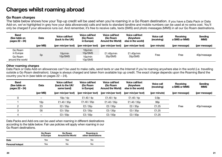## <span id="page-10-0"></span>**Charges whilst roaming abroad**

### **Go Roam charges**

The table below shows how your Top-up credit will be used when you're roaming in a Go Roam destination. If you have a Data Pack or Data Add-on, we've highlighted in grey how your data allowance(s) calls and texts to standard landline and mobile numbers can be used at no extra cost. You'll only be charged if your allowance runs out. And remember, it's free to receive calls, texts (SMS) and photo messages (MMS) in all our Go Roam destinations.

| Band<br>(See table on<br>pages 22 - 24) | Data     | Voice call/text<br>(back to the UK) | Voice call/text<br>(Go Roam<br>in Europe) | Voice call/text<br>(Go Roam<br><b>Around the World)</b> | Voice call/text<br>(Anywhere<br>else in the world) | <b>Voice call</b><br>(receiving) | Receiving<br>a SMS or MMS | Sending<br><b>MMS</b> |
|-----------------------------------------|----------|-------------------------------------|-------------------------------------------|---------------------------------------------------------|----------------------------------------------------|----------------------------------|---------------------------|-----------------------|
|                                         | (per MB) | (per min/per text)                  | (per min/per text)                        | (per min/per text)                                      | (per min/per text)                                 | (per minute)                     | (per message)             | (per message)         |
| Go Roam<br>in Europe                    |          | 10p/min                             | 10p/min<br>10p/SMS                        | £1.40p/min<br>35 <sub>p</sub> /SMS                      | £1.40p/min<br>35p/SMS                              | Free                             | Free                      | 40p/message           |
| 5p<br>Go Roam<br>around the world       |          | 10p/SMS                             | 10p/min<br>10p/SMS                        |                                                         |                                                    |                                  |                           |                       |

### **Other roaming charges**

Data Pack or Data Add-on allowances can't be used to make calls, send texts or use the Internet if you're roaming anywhere else in the world (i.e. travelling outside a Go Roam destination). Usage is always charged and taken from available top up credit. The exact charge depends upon the Roaming Band the country you're in (see table on pages 22 – 24).

| Band<br>(See table on<br>pages 22 - 24) | Data              | Voice call/text<br>(back to the UK/<br>same band) | <b>Voice call/text</b><br>(Go Roam<br>in Europe) | Voice call/text<br>(Go Roam<br>Around the World) | Voice call/text<br>(Anywhere<br>else in the world) | Voice call<br>(receiving) | Receiving<br>a SMS or MMS | Sending<br><b>MMS</b> |
|-----------------------------------------|-------------------|---------------------------------------------------|--------------------------------------------------|--------------------------------------------------|----------------------------------------------------|---------------------------|---------------------------|-----------------------|
|                                         | (per MB)          | (per min/per text)                                | (per min/per text)                               | (per min/per text)                               | (per min/per text)                                 | (per minute)              | (per message)             | (per message)         |
|                                         | -                 | 10p/4p                                            | £1.40 / 4p                                       | £1.40 / 4p                                       | £1.40 / 4p                                         | 0.9 <sub>p</sub>          |                           |                       |
|                                         | 10 <sub>p</sub>   | £1.40 / 35p                                       | £1.40 / 35p                                      | £1.40 / 35p                                      | £1.40 / $35p$                                      | 99 <sub>p</sub>           |                           |                       |
|                                         | £3                | £2/35p                                            | £2 / 35p                                         | £2 / 35p                                         | £2 / 35p                                           | £1.25                     | Free                      | 40p/message           |
| ີ                                       | £6                | £3/35p                                            | £3/35p                                           | £3/35p                                           | £3 / 35p                                           | £1.25                     |                           |                       |
|                                         | $\qquad \qquad =$ | £3/50p                                            | £3/50p                                           | £3/50p                                           | £3/50p                                             | £1.25                     |                           |                       |

Data Packs and Add-ons can be used when roaming in different destinations according to the table below. Fair use policies will apply when roaming in our Go Roam destinations.

|                  | Go Roam<br>in Europe | Go Roam<br><b>Around the World</b> | Roaming in<br>other destinations |
|------------------|----------------------|------------------------------------|----------------------------------|
| Data             | Yes                  | Yes                                | No                               |
| Personal hotspot | Yes                  | No                                 | No                               |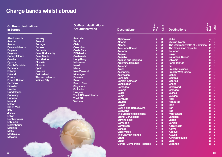### <span id="page-11-0"></span>**Charge bands whilst abroad**

**Go Roam destinations in Europe**

**Aland Islands Austria Azores Balearic Islands Belgium Bulgaria Canary Islands Croatia Cyprus Czech Republic Denmark Estonia Finland France French Guiana Germany Gibraltar Greece Guadeloupe Guernsey Hungary Iceland Ireland Isle of Man Italy Jersey Latvia Liechtenstein Lithuania Luxembourg Madeira Malta Martinique Mayotte**

**Norway Poland Portugal Réunion Romania Saint Barthélemy Saint Martin San Marino Slovakia Slovenia Spain Sweden Switzerland The Netherlands Vatican City**

**Go Roam destinations Around the world**

**Australia Brazil Chile Colombia Costa Rica El Salvador Guatemala Hong Kong Indonesia Israel Macau New Zealand Nicaragua Panama Peru Puerto Rico Singapore Sri Lanka Uruguay The US Virgin Islands The USA Vietnam**

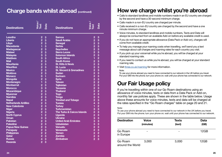### <span id="page-12-0"></span>**Charge bands whilst abroad (continued)**

| <b>Destinations</b>         | Voice/<br>Text          | Data                    | <b>Destinations</b>                 | Voice /<br>Text                              | Data                    |  |
|-----------------------------|-------------------------|-------------------------|-------------------------------------|----------------------------------------------|-------------------------|--|
| Lesotho                     | $\overline{2}$          | 3                       | Samoa                               | $\overline{2}$                               | 3                       |  |
| Liberia                     | $\overline{2}$          | 3                       | <b>Saudi Arabia</b>                 | $\overline{2}$                               | $\overline{\mathbf{3}}$ |  |
| Libya                       | $\overline{2}$          | 3                       | <b>Senegal</b>                      | 2                                            | 3                       |  |
| <b>Macedonia</b>            | 1                       | 3                       | <b>Serbia</b>                       | $\frac{2}{2}$                                | 3                       |  |
| Madagascar                  | $\overline{2}$          | 3                       | <b>Seychelles</b>                   |                                              | 3                       |  |
| <b>Malawi</b>               | $\overline{2}$          | 3                       | <b>Sierra Leone</b>                 | $\overline{2}$                               | 3                       |  |
| <b>Malaysia</b>             | $\overline{\mathbf{3}}$ | 3                       | <b>Solomon Islands</b>              | $\overline{2}$                               | 3                       |  |
| <b>Maldives</b>             | 3                       | 3                       | <b>South Africa</b>                 | $\overline{1}$                               | $\overline{2}$          |  |
| <b>Mali</b>                 | $\overline{2}$          | 3                       | <b>South Korea</b>                  | $\overline{2}$                               | 3                       |  |
| <b>Mauritania</b>           | $\overline{2}$          | 3                       | <b>St. Kitts &amp; Nevis</b>        | $\overline{2}$                               | 3                       |  |
| <b>Mauritius</b>            | $\overline{2}$          | $\overline{\mathbf{3}}$ | St. Lucia                           | $\overline{2}$                               | 3                       |  |
| <b>Mexico</b>               | $\overline{2}$          | 3                       | <b>St. Vincent &amp; Grenadines</b> | $\overline{2}$                               | 3                       |  |
| <b>Moldova</b>              | $\overline{2}$          | 3                       | <b>Sudan</b>                        | $\bar{2}$                                    | $\overline{\mathbf{3}}$ |  |
| <b>Monaco</b>               | $\mathbf 0$             | 1                       | <b>Surinam</b>                      | $\overline{2}$                               | 3                       |  |
| <b>Mongolia</b>             | $\overline{2}$          | 3                       | <b>Syria</b>                        | $\frac{2}{2}$                                | 3                       |  |
| Montenegro                  | 1                       | 3                       | <b>Taiwan</b>                       |                                              | $\overline{2}$          |  |
| <b>Montserrat</b>           | $\overline{2}$          | 3                       | <b>Taiikistan</b>                   | -<br>2                                       | $\overline{\mathbf{3}}$ |  |
| <b>Morocco</b>              | 3                       | 3                       | <b>Tanzania</b>                     | $\overline{2}$                               | 3                       |  |
| <b>Mozambique</b>           | $\overline{2}$          | 3                       | <b>Thailand</b>                     | $\overline{2}$                               | $\overline{2}$          |  |
| <b>Myanmar</b>              | $\frac{2}{2}$           | 3                       | <b>Togo</b>                         | $\overline{2}$                               | 3                       |  |
| <b>Namibia</b>              |                         | 3                       | <b>Tonga</b>                        | $\overline{2}$                               | 3                       |  |
| <b>Nepal</b>                | $\overline{2}$          | 3                       | <b>Trinidad and Tobago</b>          | $\overline{2}$                               | 3                       |  |
| <b>Netherlands Antilles</b> | $\overline{2}$          | 3                       | <b>Tunisia</b>                      | $\overline{\mathbf{4}}$                      | 3                       |  |
| <b>New Caledonia</b>        | $\overline{2}$          | 3                       | <b>Turkey</b>                       | 1                                            | $\overline{2}$          |  |
| <b>Niger</b>                | $\overline{2}$          | 3                       | <b>Turkmenistan</b>                 | 3                                            | 3                       |  |
| <b>Nigeria</b>              | $\overline{2}$          | 3                       | The Turks & Caicos Islands          | $\overline{2}$                               | 3                       |  |
| <b>North Cyprus</b>         | $\overline{1}$          | $\overline{2}$          | Uganda                              | $\overline{2}$                               | 3                       |  |
| Oman                        | 3                       | 3                       | <b>Ukraine</b>                      | 3                                            | 3                       |  |
| Pakistan                    | $\overline{2}$          | $\overline{3}$          | <b>United Arab Emirates</b>         | 3                                            | 3                       |  |
| <b>Palestine</b>            | $\overline{2}$          | 3                       | <b>Uzbekistan</b>                   | 3                                            | 3                       |  |
| Papua New Guinea            | $\frac{2}{2}$           | 3                       | Vanuatu                             | $\begin{array}{c}\n2 \\ 2 \\ 2\n\end{array}$ | 3                       |  |
| Paraguay                    |                         | 3                       | Venezuela                           |                                              | 3                       |  |
| <b>Philippines</b>          | $\overline{2}$          | $\overline{2}$          | Yemen                               |                                              | $\overline{2}$          |  |
| <b>Qatar</b>                | $\overline{2}$          | 3                       | Zambia                              | $\frac{1}{2}$                                | 3                       |  |
| <b>Russia</b>               | 4                       | 3                       | <b>Zimbabwe</b>                     |                                              | 3                       |  |
| <b>Rwanda</b>               | $\overline{2}$          | 3                       |                                     |                                              |                         |  |

### **How we charge whilst you're abroad**

- Calls to standard landlines and mobile numbers made in an EU country are charged by the second and have a 30-second minimum charge.
- Calls made in a non-EU country are charged per minute.
- Calls received in a non-EU country are charged by the second and have a one minute minimum charge.
- Voice minutes, to standard landlines and mobile numbers, Texts and Data will always be consumed from an available Add-on before any available credit is used.
- If you do not have an appropriate allowance (Data Pack or Add-on), charges will come from available credit.
- To help you manage your roaming costs when travelling, we'll send you a text message about call charges and roaming rates for each country you visit.
- If you pick up your voicemail while you're abroad, you will be charged at your standard roaming rate.
- If you need to contact us while you're abroad, you will be charged at your standard roaming rate.
- Visit [three.co.uk/roaming](http://three.co.uk/roaming) for more information.

### Note:

To use your phone abroad you need to have connected to our network in the UK before you travel. Put your SIM into the phone; turn your phone on; wait until your phone has connected to our network.

# **Our Fair Usage policy**

If you're travelling within one of our Go Roam destinations using an allowance of voice minutes, texts or data from a Data Pack or Add-on, monthly fair use policies apply. These are shown in the table below. Usage above these amounts for voice minutes, texts and data will be charged at the rates specified in the "Go Roam charges" table on page 20 and 21.

### Note:

To use your phone abroad you need to have connected to our network in the UK before you travel. Put your SIM into the phone; turn your phone on; wait until your phone has connected to our network.

| <b>Destination</b>          | Voice<br>(minutes) | Texts<br>(text) | Data<br>(GB) |
|-----------------------------|--------------------|-----------------|--------------|
| Go Roam<br>in Europe        |                    | -               | 12GB         |
| Go Roam<br>around the World | 3.000              | 3.000           | 12GB         |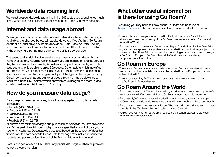## <span id="page-13-0"></span>**Worldwide data roaming limit**

We've set up a worldwide data roaming limit of £45 to stop you spending too much. If you would like this limit removed, please contact Three Customer Services.

### **Internet and data usage abroad**

When you roam onto other international networks where data roaming is available, the charges below will apply. However, if you're in a Go Roam destination, and have a suitable allowance (Data Pack or Data Add-on), you can use your allowance to call and text the UK and use your data without paying a penny more subject to our fair use policies.

The speed and availability of Internet access when abroad will depend on a number of factors, including which network you are roaming on and the services they have available for example, 4G networks may not be available, in which case you may only be able to enjoy 3G speeds. Other factors which may affect the speeds that you'll experience include your distance from the nearest mast, your location in a building, local geography and the type of device you're using. Certain services such as audio and/ or video streaming may be slower as a result than in the UK. For information on which countries you can roam in, and on which networks, visit three.co.uk/roaming

# **How do you measure data usage?**

Data usage is measured in bytes, this is then aggregated up into large units of measure

- $\bullet$  Kilobyte (kB) = 1024 bytes
- Megabyte (MB) = 1024kB
- $\bullet$  Gigabyte (GB) = 1024MB
- $\bullet$  Terabyte (TB) = 1024GB
- Petabyte (PB) = 1024TB

All current data tariffs are charged and purchased as part of an inclusive allowance and / or as part of an Add-on which provides a specified amount of data you can use for a fixed price. Data usage is calculated based on the amount of data that travels over the data network. Please note that usage may include re-sent data packets and packets added to control the flow of data over the network.

Data is charged at each full MB level. Any partial MB usage will then be prorated as per the customer plan.

### **What other useful information is there for using Go Roam?**

Everything you may need to know about Go Roam can be found at [three.co.uk/go-roam](http://Three.co.uk/go-roam) but some key bits of information can be found below:

- You can choose to use your top-up credit, a Pack allowance or a Data Add-on allowance at no extra cost in any of our Go Roam destinations – both in Europe and Around the World.
- If you've chosen to convert your Top-up into a Pay As You Go Data Pack or Data Addon, you can use a portion of your allowance in our Go Roam destinations, subject to our fair use policies. These fair use policies differ depending on whether you are roaming in a Go Roam in Europe or Go Roam Around the World destination and may be updated from time to time:

# **Go Roam in Europe**

- There are no fair use limits for calls made or texts sent from any available allowance to standard landline or mobile numbers within our Go Roam in Europe destinations or back to the UK.
- You can use your Pay As You Go credit or allowance to create a personal hotspot in a Go Roam in Europe destination.

# **Go Roam Around the World**

- If you have more than 3,000 texts included in your allowance, you can send up to 3,000 texts back to the UK each month from a Go Roam Around the World destination.
- If you have 3,000 or more minutes included in your allowance, you can talk for up to 3,000 minutes on calls made to standard UK landlines or mobile numbers each month.
- If you exceed any of these fair use limits, you'll be charged in accordance with the rates specified in the "Go Roam charges" table on pages 20 and 21.
- You can use your Pay As You Go credit to create a personal hotspot in a Go Roam Around the World destination.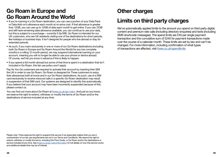### <span id="page-14-0"></span>**Go Roam in Europe and Go Roam Around the World**

- If you're roaming in a Go Roam destination, you can use a portion of your Data Pack or Data Add-on's allowance each month at no extra cost. If that allowance is greater than 12GB, you can use up to 12GB of data each month to get online. If you use 12GB and still have remaining data allowance available, you can continue to use your data, but this is subject to a surcharge – currently 0.3p/MB. Go Roam is intended for our UK customers, who are UK residents visiting one of the destinations for short periods, like holidays or business trips. It isn't designed for people who live abroad or stay for extended periods.
- As such, if you roam exclusively in one or more of our Go Roam destinations (including both Go Roam in Europe and Go Roam Around the World) for any two complete months in a rolling 12-month period, we may suspend international roaming on your account, meaning you will no longer be able to use your phone or device abroad. Of course, we'll let you know in advance if this is likely to happen.
- If you spend a full month abroad but some of that time is spent in a destination that isn't included in Go Roam, this fair use policy won't apply.

Pay As You Go customers are required to activate their account by inserting their SIM the UK in order to use Go Roam. Go Roam is designed for Three customers to enjoy their allowances both at home and in our Go Roam destinations. As such, use of a SIM card exclusively to receive inbound calls in a specific Go Roam destination may result in suspension of that SIM card. Our systems are designed to identify this automatically. If you believe that your account may have been incorrectly suspended because of this, please contact us.

You can find out more about Go Roam at three.co.uk/go-roam. And just so you know, we reserve the right to extend, withdraw or modify the terms of Go Roam and/or the destinations of service included at any time.

### **Other charges**

### **Limits on third party charges**

We've automatically applied limits to the amount you spend on third party digital content and premium rate calls (including directory enquiries) and texts (including SMS shortcode messages). The spend limits are £40 per single payment transaction and the cumulative sum of £240 for payment transactions made over the course of a calendar month. These limits are set by law and can't be changed. For more information, including confirmation of what types of transactions are affected, visit [three.co.uk/spendlimits](http://three.co.uk/spendlimits)

Please note: Three reserves the right to suspend this service if we reasonably believe that you are in contravention of our fair use requirements set out in our Terms and Conditions. We reserve the right to extend, withdraw or modify the terms, including this Price Guide, or Go Roam and/or the destinations or service included at any time. See [three.co.uk/go-roam/information](http://Three.co.uk/go-roam/information) for full details on how this service works and additional details that may be of interest.